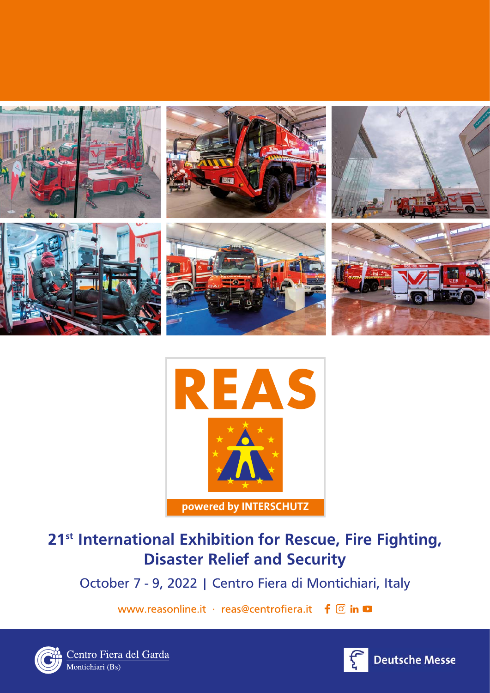



# **21st International Exhibition for Rescue, Fire Fighting, Disaster Relief and Security**

October 7 - 9, 2022 | Centro Fiera di Montichiari, Italy

www.reasonline.it · reas@centrofiera.it  $\mathbf{f}$  o in  $\mathbf{\Omega}$ 



Centro Fiera del Garda<br>Montichiari (Bs)

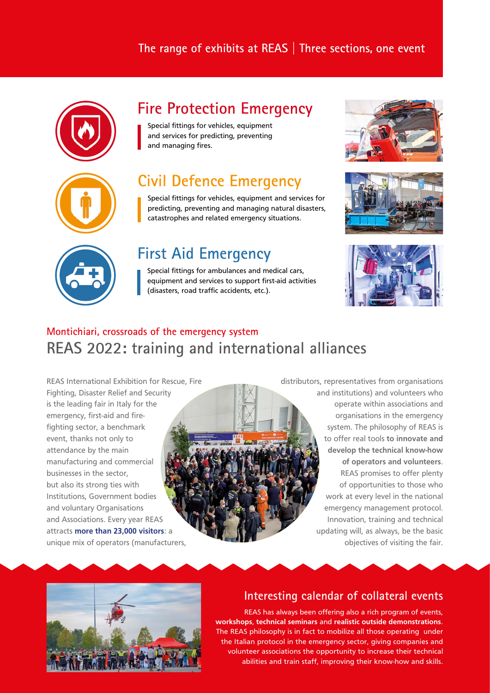#### **The range of exhibits at REAS | Three sections, one event**



## **Fire Protection Emergency**

Special fittings for vehicles, equipment and services for predicting, preventing and managing fires.

**Civil Defence Emergency** Special fittings for vehicles, equipment and services for predicting, preventing and managing natural disasters,

# **First Aid Emergency**

Special fittings for ambulances and medical cars, equipment and services to support first-aid activities (disasters, road traffic accidents, etc.).

catastrophes and related emergency situations.







### **Montichiari, crossroads of the emergency system REAS 2022: training and international alliances**

REAS International Exhibition for Rescue, Fire Fighting, Disaster Relief and Security is the leading fair in Italy for the emergency, first-aid and firefighting sector, a benchmark event, thanks not only to attendance by the main manufacturing and commercial businesses in the sector, but also its strong ties with Institutions, Government bodies and voluntary Organisations and Associations. Every year REAS attracts **more than 23,000 visitors**: a unique mix of operators (manufacturers,

distributors, representatives from organisations and institutions) and volunteers who operate within associations and organisations in the emergency system. The philosophy of REAS is to offer real tools **to innovate and develop the technical know-how of operators and volunteers**. REAS promises to offer plenty of opportunities to those who work at every level in the national emergency management protocol. Innovation, training and technical updating will, as always, be the basic objectives of visiting the fair.



#### **Interesting calendar of collateral events**

REAS has always been offering also a rich program of events, **workshops**, **technical seminars** and **realistic outside demonstrations**. The REAS philosophy is in fact to mobilize all those operating under the Italian protocol in the emergency sector, giving companies and volunteer associations the opportunity to increase their technical abilities and train staff, improving their know-how and skills.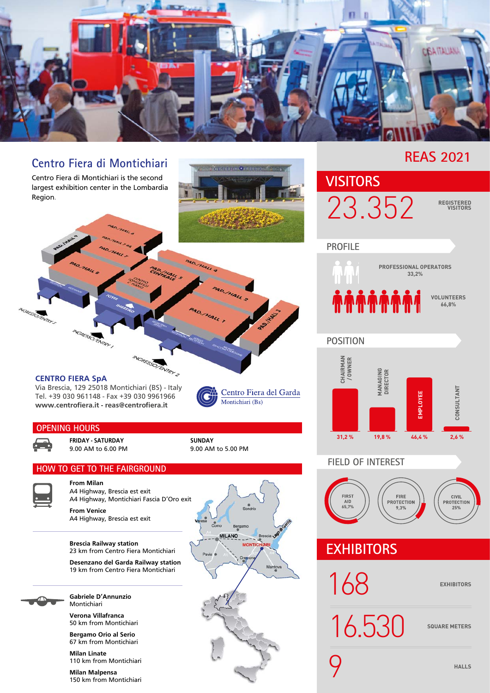

#### **REAS 2021 Centro Fiera di Montichiari** GIRMARINO . HIM Centro Fiera di Montichiari is the second **VISITORS** largest exhibition center in the Lombardia 23.352 **REGISTERED**  Region. **VISITORS PROFILE PROFESSIONAL OPERATORS** yau **33,2%** <mark>ଳଳଳଳଳଳ</mark> **VOLUNTEERS 66,8% AGREGO PATRY AIGRESS DENTRY POSITION MGRESS O FINTRY 2 CHAIRMAN / OWNER MANAGING**<br>DIRECTOR **MANAGING DIRECTOR CENTRO FIERA SpA** Via Brescia, 129 25018 Montichiari (BS) - Italy **CONSULTANT CONSULTANT** Centro Fiera del Garda EMPLOYEE **EMPLOYEE** Tel. +39 030 961148 - Fax +39 030 9961966 Montichiari (Bs) **www.centrofiera.it - reas@centrofiera.it OPENING HOURS 31,2 % 19,8 % 46,4 % 2,6 % FRIDAY - SATURDAY SUNDAY** 9.00 AM to 6.00 PM 9.00 AM to 5.00 PM **FIELD OF INTERESTHOW TO GET TO THE FAIRGROUND From Milan** A4 Highway, Brescia est exit FIRS1<br>AID<br>65,7% FIRE<br>PROTECTION **CIVIL**<br>PROTECTION A4 Highway, Montichiari Fascia D'Oro exit **From Venice** A4 Highway, Brescia est exit **IILANO** Bres **Brescia Railway station** MONTIC **EXHIBITORS** 23 km from Centro Fiera Montichiari **Desenzano del Garda Railway station** Mantova 19 km from Centro Fiera Montichiari 168 **EXHIBITORS Gabriele D'Annunzio** Montichiari **Verona Villafranca** 16.530 SQUARE METERS

9 **HALLS**

50 km from Montichiari

**Bergamo Orio al Serio** 67 km from Montichiari

**Milan Linate** 110 km from Montichiari

**Milan Malpensa** 150 km from Montichiari